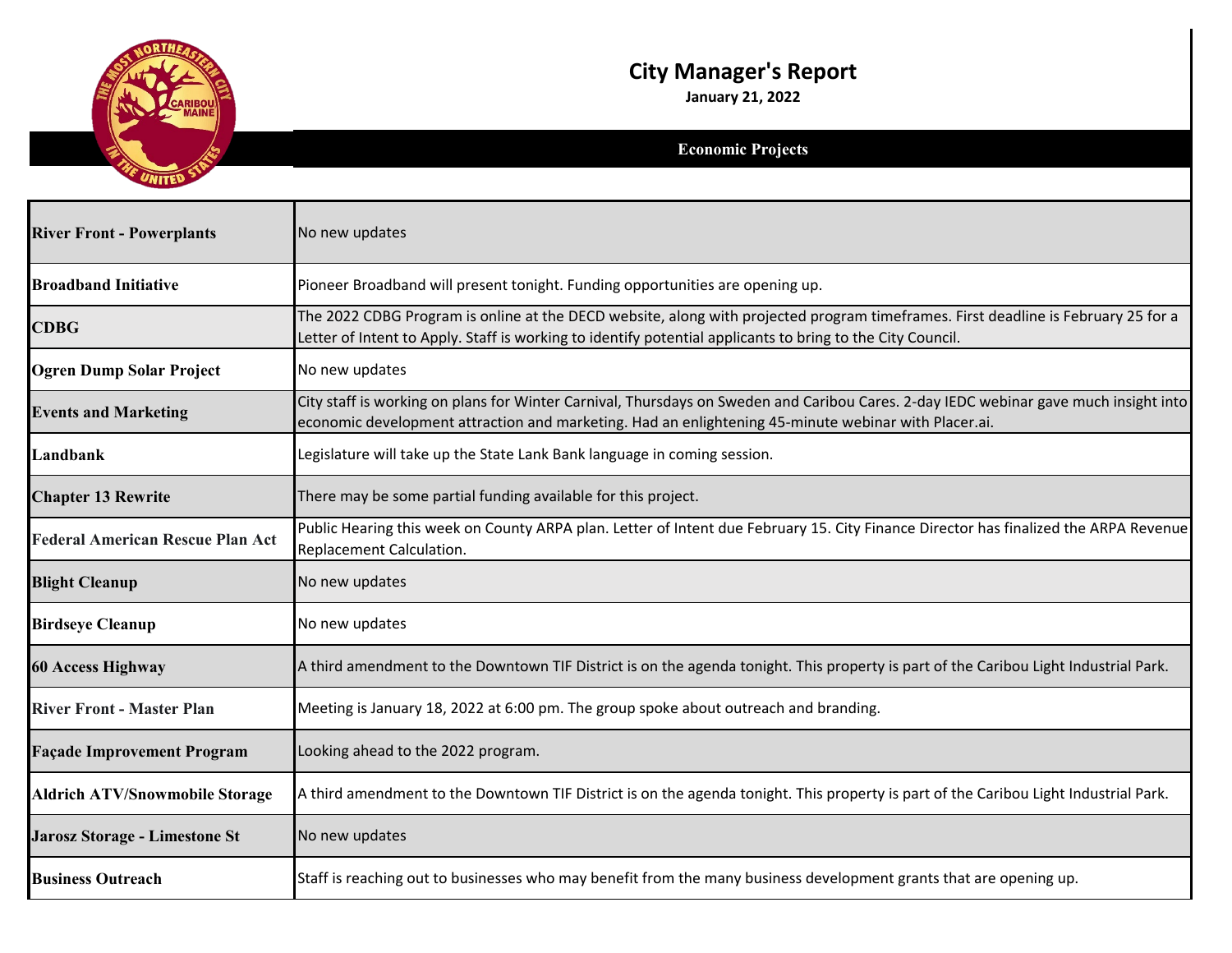

## **City Manager's Report**

**January 21, 2022**

## **Economic Projects**

| <b>River Front - Powerplants</b>        | No new updates                                                                                                                                                                                                                                  |
|-----------------------------------------|-------------------------------------------------------------------------------------------------------------------------------------------------------------------------------------------------------------------------------------------------|
| <b>Broadband Initiative</b>             | Pioneer Broadband will present tonight. Funding opportunities are opening up.                                                                                                                                                                   |
| <b>CDBG</b>                             | The 2022 CDBG Program is online at the DECD website, along with projected program timeframes. First deadline is February 25 for a<br>Letter of Intent to Apply. Staff is working to identify potential applicants to bring to the City Council. |
| <b>Ogren Dump Solar Project</b>         | No new updates                                                                                                                                                                                                                                  |
| <b>Events and Marketing</b>             | City staff is working on plans for Winter Carnival, Thursdays on Sweden and Caribou Cares. 2-day IEDC webinar gave much insight into<br>economic development attraction and marketing. Had an enlightening 45-minute webinar with Placer.ai.    |
| Landbank                                | Legislature will take up the State Lank Bank language in coming session.                                                                                                                                                                        |
| <b>Chapter 13 Rewrite</b>               | There may be some partial funding available for this project.                                                                                                                                                                                   |
| <b>Federal American Rescue Plan Act</b> | Public Hearing this week on County ARPA plan. Letter of Intent due February 15. City Finance Director has finalized the ARPA Revenue<br>Replacement Calculation.                                                                                |
| <b>Blight Cleanup</b>                   | No new updates                                                                                                                                                                                                                                  |
| <b>Birdseye Cleanup</b>                 | No new updates                                                                                                                                                                                                                                  |
| <b>60 Access Highway</b>                | A third amendment to the Downtown TIF District is on the agenda tonight. This property is part of the Caribou Light Industrial Park.                                                                                                            |
| <b>River Front - Master Plan</b>        | Meeting is January 18, 2022 at 6:00 pm. The group spoke about outreach and branding.                                                                                                                                                            |
| <b>Façade Improvement Program</b>       | Looking ahead to the 2022 program.                                                                                                                                                                                                              |
| <b>Aldrich ATV/Snowmobile Storage</b>   | A third amendment to the Downtown TIF District is on the agenda tonight. This property is part of the Caribou Light Industrial Park.                                                                                                            |
| <b>Jarosz Storage - Limestone St</b>    | No new updates                                                                                                                                                                                                                                  |
| <b>Business Outreach</b>                | Staff is reaching out to businesses who may benefit from the many business development grants that are opening up.                                                                                                                              |